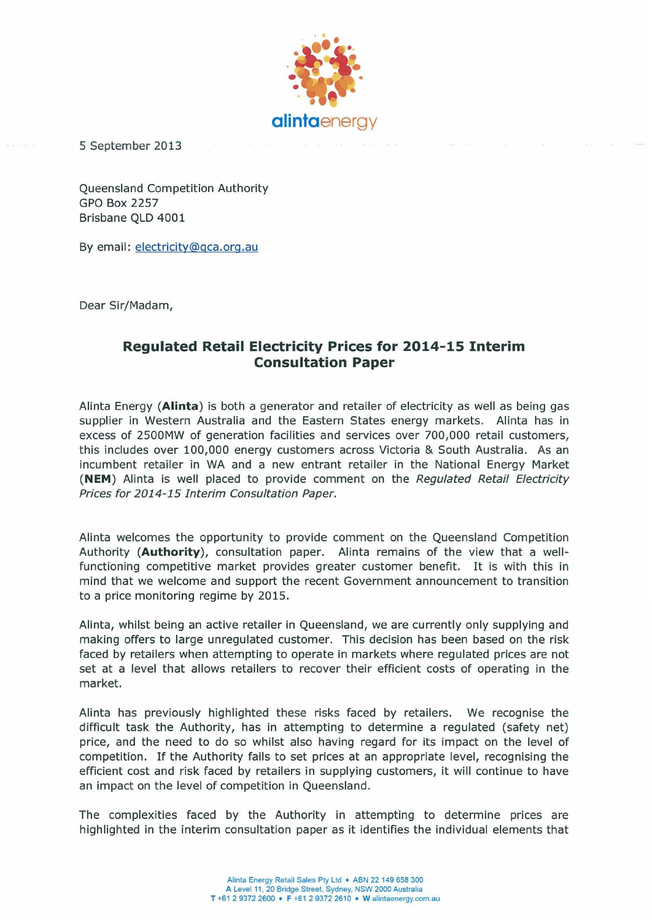

5 September 2013

Queensland Competition Authority GPO Box 2257 Brisbane QLD 4001

By email: electricity@gca.org.au

Dear Sir/Madam,

# **Regulated Retail Electricity Prices for 2014-15 Interim Consultation Paper**

Alinta Energy **(Aiinta)** is both a generator and retailer of electricity as well as being gas supplier in Western Australia and the Eastern States energy markets. Alinta has in excess of 2500MW of generation facilities and services over 700,000 retail customers, this includes over 100,000 energy customers across Victoria & South Australia. As an incumbent retailer in WA and a new entrant retailer in the National Energy Market **(NEM)** Alinta is well placed to provide comment on the Regulated Retail Electricity Prices for 2014-15 Interim Consultation Paper.

Alinta welcomes the opportunity to provide comment on the Queensland Competition Authority **(Authority),** consultation paper. Alinta remains of the view that a wellfunctioning competitive market provides greater customer benefit. It is with this in mind that we welcome and support the recent Government announcement to transition to a price monitoring regime by 2015.

Alinta, whilst being an active retailer in Queensland, we are currently only supplying and making offers to large unregulated customer. This decision has been based on the risk faced by retailers when attempting to operate in markets where regulated prices are not set at a level that allows retailers to recover their efficient costs of operating in the market.

Alinta has previously highlighted these risks faced by retailers. We recognise the difficult task the Authority, has in attempting to determine a regulated (safety net) price, and the need to do so whilst also having regard for its impact on the level of competition. If the Authority fails to set prices at an appropriate level, recognising the efficient cost and risk faced by retailers in supplying customers, it will continue to have an impact on the level of competition in Queensland.

The complexities faced by the Authority in attempting to determine prices are highlighted in the interim consultation paper as it identifies the individual elements that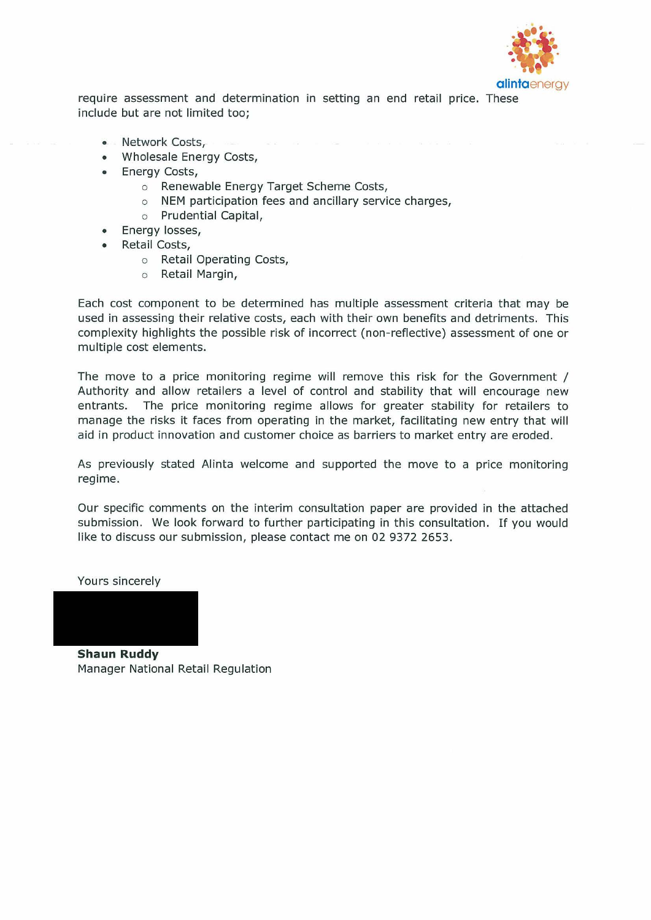

require assessment and determination in setting an end retail price. These include but are not limited too;

- Network Costs,
- Wholesale Energy Costs,
- **Energy Costs,** 
	- o Renewable Energy Target Scheme Costs,
	- o NEM participation fees and ancillary service charges,
	- o Prudential Capital,
	- Energy losses,
- Retail Costs,
	- o Retail Operating Costs,
	- o Retail Margin,

Each cost component to be determined has multiple assessment criteria that may be used in assessing their relative costs, each with their own benefits and detriments. This complexity highlights the possible risk of incorrect (non-reflective) assessment of one or multiple cost elements.

The move to a price monitoring regime will remove this risk for the Government / Authority and allow retailers a level of control and stability that will encourage new entrants. The price monitoring regime allows for greater stability for retailers to manage the risks it faces from operating in the market, facilitating new entry that will aid in product innovation and customer choice as barriers to market entry are eroded.

As previously stated Alinta welcome and supported the move to a price monitoring regime.

Our specific comments on the interim consultation paper are provided in the attached submission. We look forward to further participating in this consultation. If you would like to discuss our submission, please contact me on 02 9372 2653.

Yours sincerely

**Shaun Ruddy**  Manager National Retail Regulation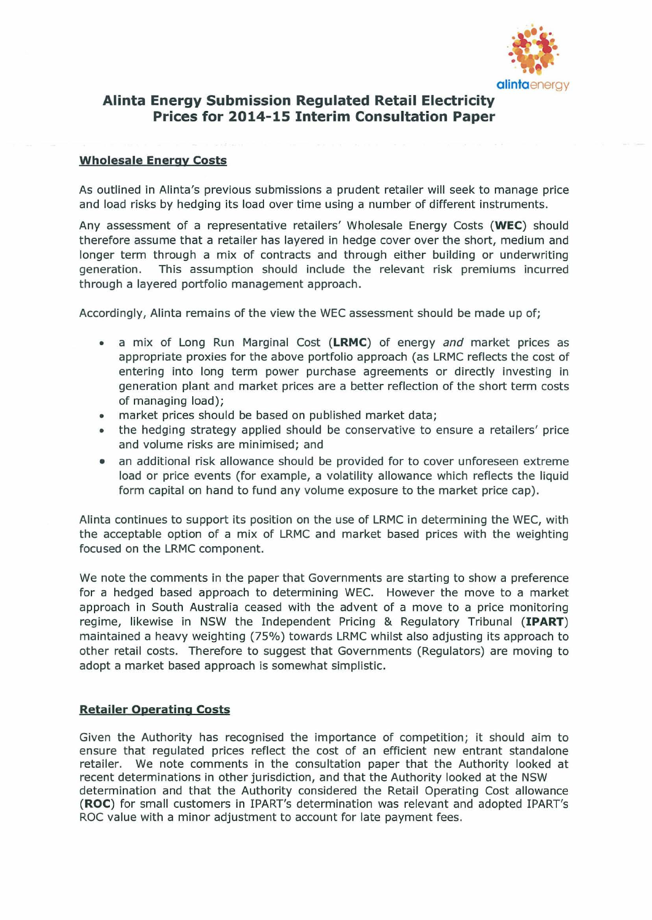

## **Alinta Energy Submission Regulated Retail Electricity Prices for 2014-15 Interim Consultation Paper**

#### **Wholesale Energy Costs**

As outlined in Alinta's previous submissions a prudent retailer will seek to manage price and load risks by hedging its load over time using a number of different instruments.

Any assessment of a representative retailers' Wholesale Energy Costs **(WEC)** should therefore assume that a retailer has layered in hedge cover over the short, medium and longer term through a mix of contracts and through either building or underwriting generation. This assumption should include the relevant risk premiums incurred through a layered portfolio management approach.

Accordingly, Alinta remains of the view the WEC assessment should be made up of;

- a mix of Long Run Marginal Cost **(LRMC)** of energy and market prices as appropriate proxies for the above portfolio approach (as LRMC reflects the cost of entering into long term power purchase agreements or directly investing in generation plant and market prices are a better reflection of the short term costs of managing load);
- market prices should be based on published market data;
- the hedging strategy applied should be conservative to ensure a retailers' price and volume risks are minimised; and
- an additional risk allowance should be provided for to cover unforeseen extreme load or price events (for example, a volatility allowance which reflects the liquid form capital on hand to fund any volume exposure to the market price cap).

Alinta continues to support its position on the use of LRMC in determining the WEC, with the acceptable option of a mix of LRMC and market based prices with the weighting focused on the LRMC component.

We note the comments in the paper that Governments are starting to show a preference for a hedged based approach to determining WEC. However the move to a market approach in South Australia ceased with the advent of a move to a price monitoring regime, likewise in NSW the Independent Pricing & Regulatory Tribunal **(IPART)**  maintained a heavy weighting (75%) towards LRMC whilst also adjusting its approach to other retail costs. Therefore to suggest that Governments (Regulators) are moving to adopt a market based approach is somewhat simplistic.

#### **Retailer Operating Costs**

Given the Authority has recognised the importance of competition; it should aim to ensure that regulated prices reflect the cost of an efficient new entrant standalone retailer. We note comments in the consultation paper that the Authority looked at recent determinations in other jurisdiction, and that the Authority looked at the NSW determination and that the Authority considered the Retail Operating Cost allowance **(ROC)** for small customers in !PART's determination was relevant and adopted !PART's ROC value with a minor adjustment to account for late payment fees.